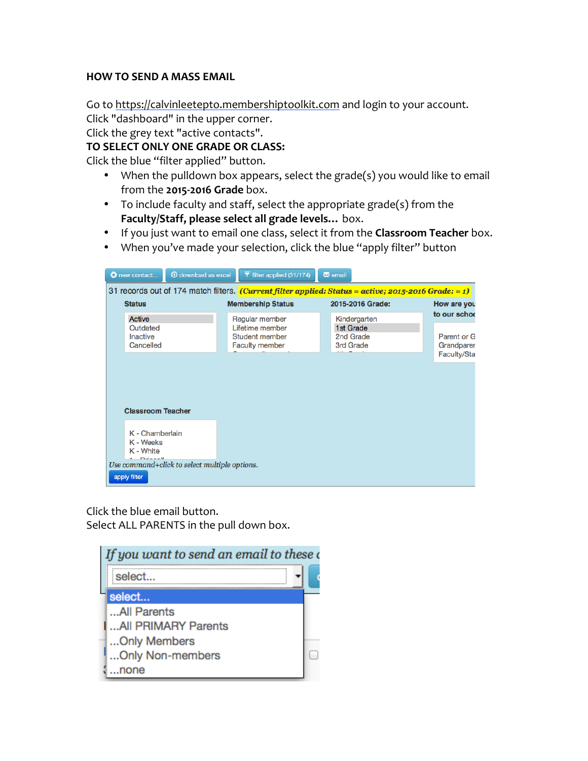## **HOW TO SEND A MASS EMAIL**

Go to https://calvinleetepto.membershiptoolkit.com and login to your account.

Click "dashboard" in the upper corner.

Click the grey text "active contacts".

## **TO SELECT ONLY ONE GRADE OR CLASS:**

Click the blue "filter applied" button.

- When the pulldown box appears, select the grade(s) you would like to email from the 2015-2016 Grade box.
- To include faculty and staff, select the appropriate grade(s) from the Faculty/Staff, please select all grade levels... box.
- If you just want to email one class, select it from the **Classroom Teacher** box.
- When you've made your selection, click the blue "apply filter" button

|                                                                                                             | <b>1</b> download as excel<br>O new contact                   |  | filter applied (31/174)                                    |  | $\blacksquare$ email                                |  |                           |  |
|-------------------------------------------------------------------------------------------------------------|---------------------------------------------------------------|--|------------------------------------------------------------|--|-----------------------------------------------------|--|---------------------------|--|
| 31 records out of 174 match filters. <i>(Current filter applied: Status = active; 2015-2016 Grade: = 1)</i> |                                                               |  |                                                            |  |                                                     |  |                           |  |
|                                                                                                             | <b>Status</b>                                                 |  | <b>Membership Status</b>                                   |  | 2015-2016 Grade:                                    |  | How are you               |  |
|                                                                                                             | <b>Active</b>                                                 |  | Regular member                                             |  | Kindergarten<br>1st Grade<br>2nd Grade<br>3rd Grade |  | to our schoo              |  |
|                                                                                                             | Outdated<br>Inactive<br>Cancelled                             |  | Lifetime member<br>Student member<br><b>Faculty member</b> |  |                                                     |  | Parent or G<br>Grandparer |  |
|                                                                                                             |                                                               |  |                                                            |  |                                                     |  | Faculty/Sta               |  |
|                                                                                                             |                                                               |  |                                                            |  |                                                     |  |                           |  |
| <b>Classroom Teacher</b>                                                                                    |                                                               |  |                                                            |  |                                                     |  |                           |  |
|                                                                                                             | K - Chamberlain                                               |  |                                                            |  |                                                     |  |                           |  |
|                                                                                                             | K - Weeks<br>K - White                                        |  |                                                            |  |                                                     |  |                           |  |
|                                                                                                             | Use command+click to select multiple options.<br>apply filter |  |                                                            |  |                                                     |  |                           |  |

Click the blue email button. Select ALL PARENTS in the pull down box.